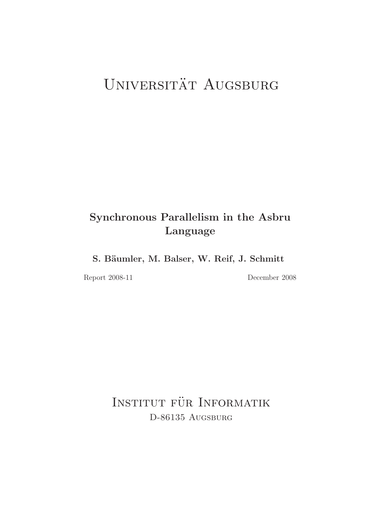# UNIVERSITÄT AUGSBURG

# Synchronous Parallelism in the Asbru Language

S. Bäumler, M. Balser, W. Reif, J. Schmitt

Report 2008-11 December 2008

INSTITUT FÜR INFORMATIK D-86135 AUGSBURG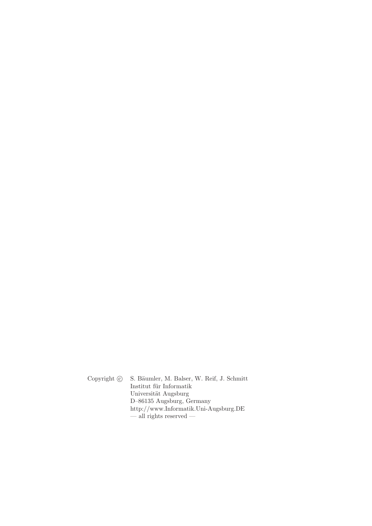Copyright  $\odot$  S. Bäumler, M. Balser, W. Reif, J. Schmitt Institut für Informatik Universität Augsburg D–86135 Augsburg, Germany http://www.Informatik.Uni-Augsburg.DE — all rights reserved —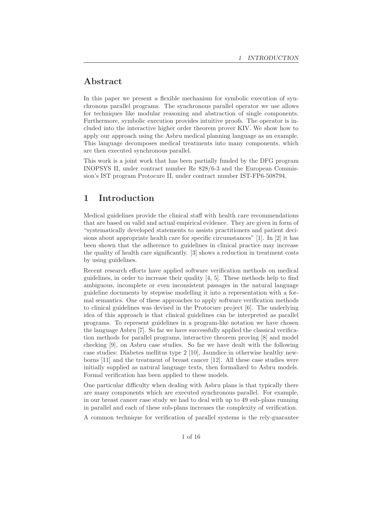# Abstract

In this paper we present a flexible mechanism for symbolic execution of synchronous parallel programs. The synchronous parallel operator we use allows for techniques like modular reasoning and abstraction of single components. Furthermore, symbolic execution provides intuitive proofs. The operator is included into the interactive higher order theorem prover KIV. We show how to apply our approach using the Asbru medical planning language as an example. This language decomposes medical treatments into many components, which are then executed synchronous parallel.

This work is a joint work that has been partially funded by the DFG program INOPSYS II, under contract number Re 828/6-3 and the European Commission's IST program Protocure II, under contract number IST-FP6-508794.

## 1 Introduction

Medical guidelines provide the clinical staff with health care recommendations that are based on valid and actual empirical evidence. They are given in form of "systematically developed statements to assists practitioners and patient decisions about appropriate health care for specific circumstances" [1]. In [2] it has been shown that the adherence to guidelines in clinical practice may increase the quality of health care significantly. [3] shows a reduction in treatment costs by using guidelines.

Recent research efforts have applied software verification methods on medical guidelines, in order to increase their quality [4, 5]. These methods help to find ambiguous, incomplete or even inconsistent passages in the natural language guideline documents by stepwise modelling it into a representation with a formal semantics. One of these approaches to apply software verification methods to clinical guidelines was devised in the Protocure project [6]. The underlying idea of this approach is that clinical guidelines can be interpreted as parallel programs. To represent guidelines in a program-like notation we have chosen the language Asbru [7]. So far we have successfully applied the classical verification methods for parallel programs, interactive theorem proving [8] and model checking [9], on Asbru case studies. So far we have dealt with the following case studies: Diabetes mellitus type 2 [10], Jaundice in otherwise healthy newborns [11] and the treatment of breast cancer [12]. All these case studies were initially supplied as natural language texts, then formalized to Asbru models. Formal verification has been applied to these models.

One particular difficulty when dealing with Asbru plans is that typically there are many components which are executed synchronous parallel. For example, in our breast cancer case study we had to deal with up to 49 sub-plans running in parallel and each of these sub-plans increases the complexity of verification.

A common technique for verification of parallel systems is the rely-guarantee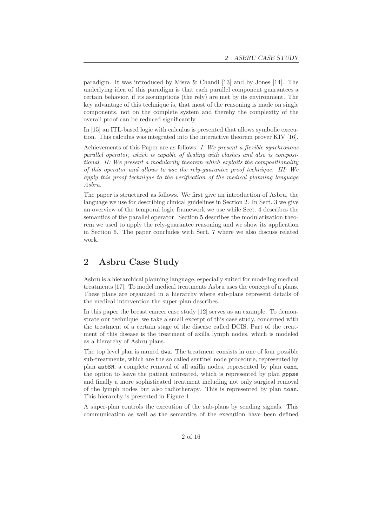paradigm. It was introduced by Misra & Chandi [13] and by Jones [14]. The underlying idea of this paradigm is that each parallel component guarantees a certain behavior, if its assumptions (the rely) are met by its environment. The key advantage of this technique is, that most of the reasoning is made on single components, not on the complete system and thereby the complexity of the overall proof can be reduced significantly.

In [15] an ITL-based logic with calculus is presented that allows symbolic execution. This calculus was integrated into the interactive theorem prover KIV [16].

Achievements of this Paper are as follows: *I: We present a flexible synchronous parallel operator, which is capable of dealing with clashes and also is compositional. II: We present a modularity theorem which exploits the compositionality of this operator and allows to use the rely-guarantee proof technique. III: We apply this proof technique to the verification of the medical planning language Asbru.*

The paper is structured as follows. We first give an introduction of Asbru, the language we use for describing clinical guidelines in Section 2. In Sect. 3 we give an overview of the temporal logic framework we use while Sect. 4 describes the semantics of the parallel operator. Section 5 describes the modularization theorem we used to apply the rely-guarantee reasoning and we show its application in Section 6. The paper concludes with Sect. 7 where we also discuss related work.

# 2 Asbru Case Study

Asbru is a hierarchical planning language, especially suited for modeling medical treatments [17]. To model medical treatments Asbru uses the concept of a plans. These plans are organized in a hierarchy where sub-plans represent details of the medical intervention the super-plan describes.

In this paper the breast cancer case study [12] serves as an example. To demonstrate our technique, we take a small excerpt of this case study, concerned with the treatment of a certain stage of the disease called DCIS. Part of the treatment of this disease is the treatment of axilla lymph nodes, which is modeled as a hierarchy of Asbru plans.

The top level plan is named dwa. The treatment consists in one of four possible sub-treatments, which are the so called sentinel node procedure, represented by plan asbSN, a complete removal of all axilla nodes, represented by plan cand, the option to leave the patient untreated, which is represented by plan gppse and finally a more sophisticated treatment including not only surgical removal of the lymph nodes but also radiotherapy. This is represented by plan toan. This hierarchy is presented in Figure 1.

A super-plan controls the execution of the sub-plans by sending signals. This communication as well as the semantics of the execution have been defined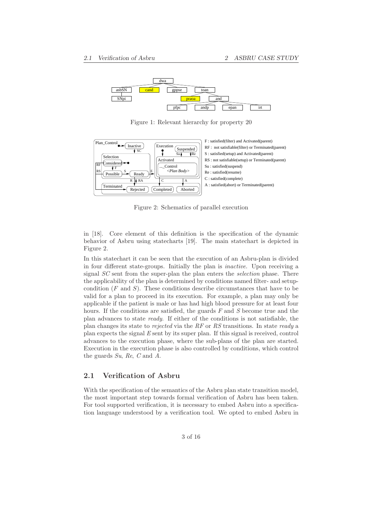

Figure 1: Relevant hierarchy for property 20



Figure 2: Schematics of parallel execution

in [18]. Core element of this definition is the specification of the dynamic behavior of Asbru using statecharts [19]. The main statechart is depicted in Figure 2.

In this statechart it can be seen that the execution of an Asbru-plan is divided in four different state-groups. Initially the plan is *inactive*. Upon receiving a signal *SC* sent from the super-plan the plan enters the *selection* phase. There the applicability of the plan is determined by conditions named filter- and setupcondition  $(F \text{ and } S)$ . These conditions describe circumstances that have to be valid for a plan to proceed in its execution. For example, a plan may only be applicable if the patient is male or has had high blood pressure for at least four hours. If the conditions are satisfied, the guards *F* and *S* become true and the plan advances to state *ready*. If either of the conditions is not satisfiable, the plan changes its state to *rejected* via the *RF* or *RS* transitions. In state *ready* a plan expects the signal *E* sent by its super plan. If this signal is received, control advances to the execution phase, where the sub-plans of the plan are started. Execution in the execution phase is also controlled by conditions, which control the guards *Su*, *Re*, *C* and *A*.

#### 2.1 Verification of Asbru

With the specification of the semantics of the Asbru plan state transition model, the most important step towards formal verification of Asbru has been taken. For tool supported verification, it is necessary to embed Asbru into a specification language understood by a verification tool. We opted to embed Asbru in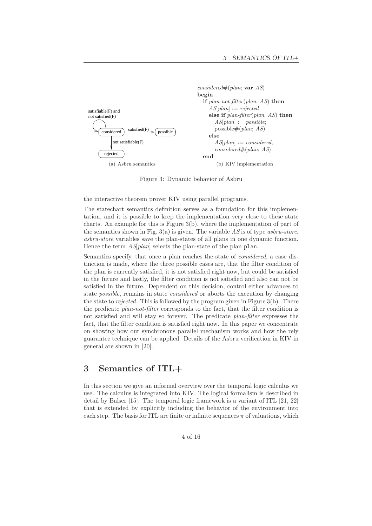

Figure 3: Dynamic behavior of Asbru

the interactive theorem prover KIV using parallel programs.

The statechart semantics definition serves as a foundation for this implementation, and it is possible to keep the implementation very close to these state charts. An example for this is Figure 3(b), where the implementation of part of the semantics shown in Fig. 3(a) is given. The variable *AS* is of type *asbru-store*. *asbru-store* variables save the plan-states of all plans in one dynamic function. Hence the term *AS*[*plan*] selects the plan-state of the plan plan.

Semantics specify, that once a plan reaches the state of *considered*, a case distinction is made, where the three possible cases are, that the filter condition of the plan is currently satisfied, it is not satisfied right now, but could be satisfied in the future and lastly, the filter condition is not satisfied and also can not be satisfied in the future. Dependent on this decision, control either advances to state *possible*, remains in state *considered* or aborts the execution by changing the state to *rejected*. This is followed by the program given in Figure 3(b). There the predicate *plan-not-filter* corresponds to the fact, that the filter condition is not satisfied and will stay so forever. The predicate *plan-filter* expresses the fact, that the filter condition is satisfied right now. In this paper we concentrate on showing how our synchronous parallel mechanism works and how the rely guarantee technique can be applied. Details of the Asbru verification in KIV in general are shown in [20].

# 3 Semantics of ITL+

In this section we give an informal overview over the temporal logic calculus we use. The calculus is integrated into KIV. The logical formalism is described in detail by Balser [15]. The temporal logic framework is a variant of ITL [21, 22] that is extended by explicitly including the behavior of the environment into each step. The basis for ITL are finite or infinite sequences  $\pi$  of valuations, which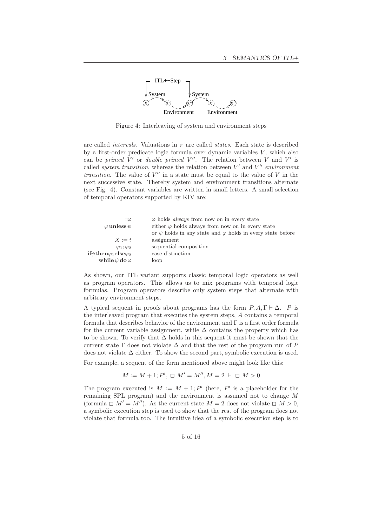

Figure 4: Interleaving of system and environment steps

are called *intervals*. Valuations in  $\pi$  are called *states*. Each state is described by a first-order predicate logic formula over dynamic variables  $V$ , which also can be *primed*  $\bar{V}'$  or *double primed*  $V''$ . The relation between  $\bar{V}$  and  $V'$  is called *system transition*, whereas the relation between  $V'$  and  $V''$  *environment transition*. The value of  $V''$  in a state must be equal to the value of V in the next successive state. Thereby system and environment transitions alternate (see Fig. 4). Constant variables are written in small letters. A small selection of temporal operators supported by KIV are:

| $\square \varphi$<br>$\varphi$ unless $\psi$                       | $\varphi$ holds <i>always</i> from now on in every state<br>either $\varphi$ holds always from now on in every state<br>or $\psi$ holds in any state and $\varphi$ holds in every state before |
|--------------------------------------------------------------------|------------------------------------------------------------------------------------------------------------------------------------------------------------------------------------------------|
| $X := t$                                                           | assignment                                                                                                                                                                                     |
| $\varphi_1; \varphi_2$                                             | sequential composition                                                                                                                                                                         |
| $\textbf{if} \psi \textbf{then} \varphi_1 \textbf{else} \varphi_2$ | case distinction                                                                                                                                                                               |
| while $\psi$ do $\varphi$                                          | loop                                                                                                                                                                                           |

As shown, our ITL variant supports classic temporal logic operators as well as program operators. This allows us to mix programs with temporal logic formulas. Program operators describe only system steps that alternate with arbitrary environment steps.

A typical sequent in proofs about programs has the form  $P, A, \Gamma \vdash \Delta$ . P is the interleaved program that executes the system steps, A contains a temporal formula that describes behavior of the environment and Γ is a first order formula for the current variable assignment, while  $\Delta$  contains the property which has to be shown. To verify that ∆ holds in this sequent it must be shown that the current state  $\Gamma$  does not violate  $\Delta$  and that the rest of the program run of P does not violate  $\Delta$  either. To show the second part, symbolic execution is used.

For example, a sequent of the form mentioned above might look like this:

$$
M := M + 1; P', \; \Box \; M' = M'', M = 2 \; \vdash \; \Box \; M > 0
$$

The program executed is  $M := M + 1$ ; P' (here, P' is a placeholder for the remaining SPL program) and the environment is assumed not to change M (formula  $\Box$  M' = M''). As the current state  $M = 2$  does not violate  $\Box$  M > 0, a symbolic execution step is used to show that the rest of the program does not violate that formula too. The intuitive idea of a symbolic execution step is to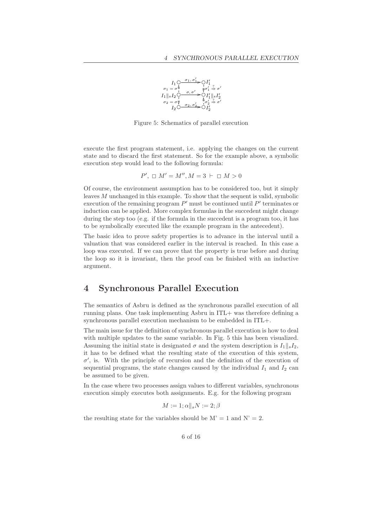

Figure 5: Schematics of parallel execution

execute the first program statement, i.e. applying the changes on the current state and to discard the first statement. So for the example above, a symbolic execution step would lead to the following formula:

$$
P', \ \square \ M' = M'', M = 3 \ \vdash \ \square \ M > 0
$$

Of course, the environment assumption has to be considered too, but it simply leaves M unchanged in this example. To show that the sequent is valid, symbolic execution of the remaining program  $P'$  must be continued until  $P'$  terminates or induction can be applied. More complex formulas in the succedent might change during the step too (e.g. if the formula in the succedent is a program too, it has to be symbolically executed like the example program in the antecedent).

The basic idea to prove safety properties is to advance in the interval until a valuation that was considered earlier in the interval is reached. In this case a loop was executed. If we can prove that the property is true before and during the loop so it is invariant, then the proof can be finished with an inductive argument.

#### 4 Synchronous Parallel Execution

The semantics of Asbru is defined as the synchronous parallel execution of all running plans. One task implementing Asbru in ITL+ was therefore defining a synchronous parallel execution mechanism to be embedded in ITL+.

The main issue for the definition of synchronous parallel execution is how to deal with multiple updates to the same variable. In Fig. 5 this has been visualized. Assuming the initial state is designated  $\sigma$  and the system description is  $I_1\parallel_s I_2$ , it has to be defined what the resulting state of the execution of this system,  $\sigma'$ , is. With the principle of recursion and the definition of the execution of sequential programs, the state changes caused by the individual  $I_1$  and  $I_2$  can be assumed to be given.

In the case where two processes assign values to different variables, synchronous execution simply executes both assignments. E.g. for the following program

 $M := 1$ ;  $\alpha \parallel_s N := 2$ ;  $\beta$ 

the resulting state for the variables should be  $M' = 1$  and  $N' = 2$ .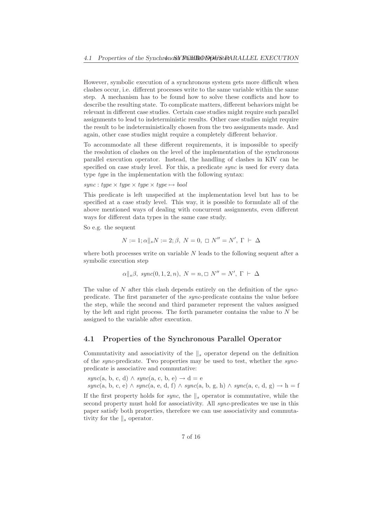However, symbolic execution of a synchronous system gets more difficult when clashes occur, i.e. different processes write to the same variable within the same step. A mechanism has to be found how to solve these conflicts and how to describe the resulting state. To complicate matters, different behaviors might be relevant in different case studies. Certain case studies might require such parallel assignments to lead to indeterministic results. Other case studies might require the result to be indeterministically chosen from the two assignments made. And again, other case studies might require a completely different behavior.

To accommodate all these different requirements, it is impossible to specify the resolution of clashes on the level of the implementation of the synchronous parallel execution operator. Instead, the handling of clashes in KIV can be specified on case study level. For this, a predicate *sync* is used for every data type *type* in the implementation with the following syntax:

 $sync: type \times type \times type \times type \times type \rightarrow bool$ 

This predicate is left unspecified at the implementation level but has to be specified at a case study level. This way, it is possible to formulate all of the above mentioned ways of dealing with concurrent assignments, even different ways for different data types in the same case study.

So e.g. the sequent

$$
N := 1; \alpha \parallel_s N := 2; \beta, N = 0, \Box N'' = N', \Gamma \vdash \Delta
$$

where both processes write on variable  $N$  leads to the following sequent after a symbolic execution step

$$
\alpha||_s\beta
$$
,  $sync(0, 1, 2, n)$ ,  $N = n$ ,  $\Box$   $N'' = N'$ ,  $\Gamma \vdash \Delta$ 

The value of N after this clash depends entirely on the definition of the *sync*predicate. The first parameter of the *sync*-predicate contains the value before the step, while the second and third parameter represent the values assigned by the left and right process. The forth parameter contains the value to N be assigned to the variable after execution.

#### 4.1 Properties of the Synchronous Parallel Operator

Commutativity and associativity of the  $\|_s$  operator depend on the definition of the *sync*-predicate. Two properties may be used to test, whether the *sync*predicate is associative and commutative:

 $sync(a, b, c, d) \wedge sync(a, c, b, e) \rightarrow d = e$ *sync*(a, b, c, e) ∧ *sync*(a, e, d, f) ∧ *sync*(a, b, g, h) ∧ *sync*(a, c, d, g) → h = f

If the first property holds for *sync*, the  $\|$ <sub>s</sub> operator is commutative, while the second property must hold for associativity. All *sync*-predicates we use in this paper satisfy both properties, therefore we can use associativity and commutativity for the  $\|_s$  operator.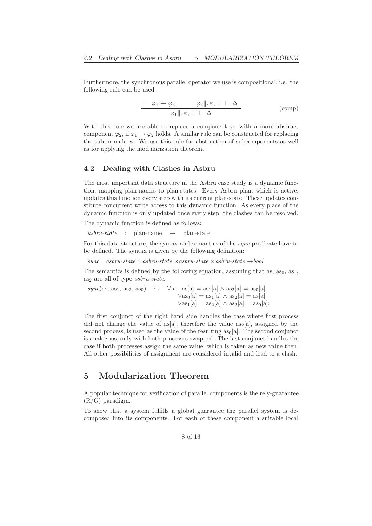Furthermore, the synchronous parallel operator we use is compositional, i.e. the following rule can be used

$$
\frac{\vdash \varphi_1 \to \varphi_2 \qquad \varphi_2 \Vert_s \psi, \Gamma \vdash \Delta}{\varphi_1 \Vert_s \psi, \Gamma \vdash \Delta} \qquad \qquad \text{(comp)}
$$

With this rule we are able to replace a component  $\varphi_1$  with a more abstract component  $\varphi_2$ , if  $\varphi_1 \to \varphi_2$  holds. A similar rule can be constructed for replacing the sub-formula  $\psi$ . We use this rule for abstraction of subcomponents as well as for applying the modularization theorem.

#### 4.2 Dealing with Clashes in Asbru

The most important data structure in the Asbru case study is a dynamic function, mapping plan-names to plan-states. Every Asbru plan, which is active, updates this function every step with its current plan-state. These updates constitute concurrent write access to this dynamic function. As every place of the dynamic function is only updated once every step, the clashes can be resolved.

The dynamic function is defined as follows:

 $asbru-state$  : plan-name  $\mapsto$  plan-state

For this data-structure, the syntax and semantics of the *sync*-predicate have to be defined. The syntax is given by the following definition:

 $sync:$   $asbru-state \times askru-state \times askru-state \times askru-state \times askru-state \rightarrow bool$ 

The semantics is defined by the following equation, assuming that as, as<sub>0</sub>, as<sub>1</sub>. as<sub>2</sub> are all of type *asbru-state*:

 $sync(as, as<sub>1</sub>, as<sub>2</sub>, as<sub>0</sub>) \leftrightarrow \forall a. as[a] = as<sub>1</sub>[a] \wedge as<sub>2</sub>[a] = as<sub>0</sub>[a]$  $\sqrt{a}$ s<sub>0</sub>[a] = as<sub>1</sub>[a]  $\wedge$  as<sub>2</sub>[a] = as[a]  $\sqrt{a}$ s<sub>1</sub>[a] = as<sub>2</sub>[a]  $\wedge$  as<sub>2</sub>[a] = as<sub>0</sub>[a];

The first conjunct of the right hand side handles the case where first process did not change the value of as[a], therefore the value  $as_2[a]$ , assigned by the second process, is used as the value of the resulting  $as<sub>0</sub>[a]$ . The second conjunct is analogous, only with both processes swapped. The last conjunct handles the case if both processes assign the same value, which is taken as new value then. All other possibilities of assignment are considered invalid and lead to a clash.

### 5 Modularization Theorem

A popular technique for verification of parallel components is the rely-guarantee (R/G) paradigm.

To show that a system fulfills a global guarantee the parallel system is decomposed into its components. For each of these component a suitable local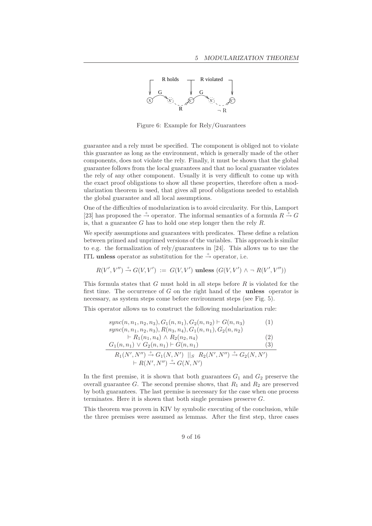

Figure 6: Example for Rely/Guarantees

guarantee and a rely must be specified. The component is obliged not to violate this guarantee as long as the environment, which is generally made of the other components, does not violate the rely. Finally, it must be shown that the global guarantee follows from the local guarantees and that no local guarantee violates the rely of any other component. Usually it is very difficult to come up with the exact proof obligations to show all these properties, therefore often a modularization theorem is used, that gives all proof obligations needed to establish the global guarantee and all local assumptions.

One of the difficulties of modularization is to avoid circularity. For this, Lamport [23] has proposed the  $\stackrel{+}{\rightarrow}$  operator. The informal semantics of a formula  $R \stackrel{+}{\rightarrow} G$ is, that a guarantee G has to hold one step longer then the rely  $R$ .

We specify assumptions and guarantees with predicates. These define a relation between primed and unprimed versions of the variables. This approach is similar to e.g. the formalization of rely/guarantees in [24]. This allows us to use the ITL unless operator as substitution for the  $\stackrel{+}{\rightarrow}$  operator, i.e.

$$
R(V',V'') \stackrel{+}{\rightarrow} G(V,V') := G(V,V') \text{ unless } (G(V,V') \land \neg R(V',V''))
$$

This formula states that G must hold in all steps before R is violated for the first time. The occurrence of  $G$  on the right hand of the **unless** operator is necessary, as system steps come before environment steps (see Fig. 5).

This operator allows us to construct the following modularization rule:

$$
sync(n, n_1, n_2, n_3), G_1(n, n_1), G_2(n, n_2) \vdash G(n, n_3)
$$
(1)  
\n
$$
sync(n, n_1, n_2, n_3), R(n_3, n_4), G_1(n, n_1), G_2(n, n_2)
$$
  
\n
$$
\vdash R_1(n_1, n_4) \land R_2(n_2, n_4)
$$
(2)  
\n
$$
G_1(n, n_1) \lor G_2(n, n_1) \vdash G(n, n_1)
$$
(3)  
\n
$$
R_1(N', N'') \overset{+}{\rightarrow} G_1(N, N') ||_S R_2(N', N'') \overset{+}{\rightarrow} G_2(N, N')
$$
  
\n
$$
\vdash R(N', N'') \overset{+}{\rightarrow} G(N, N')
$$

In the first premise, it is shown that both guarantees  $G_1$  and  $G_2$  preserve the overall guarantee G. The second premise shows, that  $R_1$  and  $R_2$  are preserved by both guarantees. The last premise is necessary for the case when one process terminates. Here it is shown that both single premises preserve  $G$ .

This theorem was proven in KIV by symbolic executing of the conclusion, while the three premises were assumed as lemmas. After the first step, three cases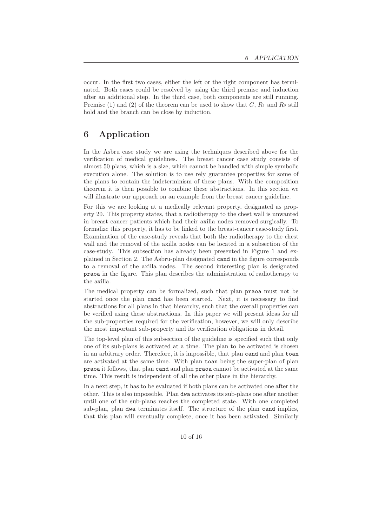occur. In the first two cases, either the left or the right component has terminated. Both cases could be resolved by using the third premise and induction after an additional step. In the third case, both components are still running. Premise (1) and (2) of the theorem can be used to show that  $G, R_1$  and  $R_2$  still hold and the branch can be close by induction.

# 6 Application

In the Asbru case study we are using the techniques described above for the verification of medical guidelines. The breast cancer case study consists of almost 50 plans, which is a size, which cannot be handled with simple symbolic execution alone. The solution is to use rely guarantee properties for some of the plans to contain the indeterminism of these plans. With the composition theorem it is then possible to combine these abstractions. In this section we will illustrate our approach on an example from the breast cancer guideline.

For this we are looking at a medically relevant property, designated as property 20. This property states, that a radiotherapy to the chest wall is unwanted in breast cancer patients which had their axilla nodes removed surgically. To formalize this property, it has to be linked to the breast-cancer case-study first. Examination of the case-study reveals that both the radiotherapy to the chest wall and the removal of the axilla nodes can be located in a subsection of the case-study. This subsection has already been presented in Figure 1 and explained in Section 2. The Asbru-plan designated cand in the figure corresponds to a removal of the axilla nodes. The second interesting plan is designated praoa in the figure. This plan describes the administration of radiotherapy to the axilla.

The medical property can be formalized, such that plan praoa must not be started once the plan cand has been started. Next, it is necessary to find abstractions for all plans in that hierarchy, such that the overall properties can be verified using these abstractions. In this paper we will present ideas for all the sub-properties required for the verification, however, we will only describe the most important sub-property and its verification obligations in detail.

The top-level plan of this subsection of the guideline is specified such that only one of its sub-plans is activated at a time. The plan to be activated is chosen in an arbitrary order. Therefore, it is impossible, that plan cand and plan toan are activated at the same time. With plan toan being the super-plan of plan praoa it follows, that plan cand and plan praoa cannot be activated at the same time. This result is independent of all the other plans in the hierarchy.

In a next step, it has to be evaluated if both plans can be activated one after the other. This is also impossible. Plan dwa activates its sub-plans one after another until one of the sub-plans reaches the completed state. With one completed sub-plan, plan dwa terminates itself. The structure of the plan cand implies, that this plan will eventually complete, once it has been activated. Similarly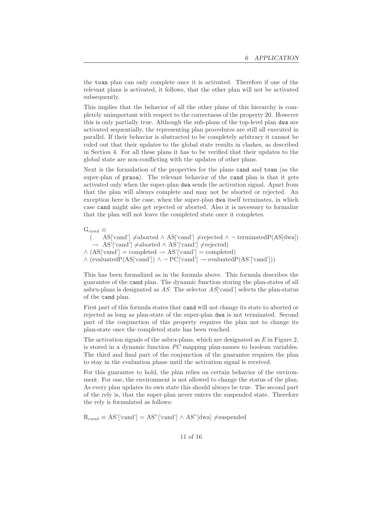the toan plan can only complete once it is activated. Therefore if one of the relevant plans is activated, it follows, that the other plan will not be activated subsequently.

This implies that the behavior of all the other plans of this hierarchy is completely unimportant with respect to the correctness of the property 20. However this is only partially true. Although the sub-plans of the top-level plan dwa are activated sequentially, the representing plan procedures are still all executed in parallel. If their behavior is abstracted to be completely arbitrary it cannot be ruled out that their updates to the global state results in clashes, as described in Section 4. For all these plans it has to be verified that their updates to the global state are non-conflicting with the updates of other plans.

Next is the formulation of the properties for the plans cand and toan (as the super-plan of praoa). The relevant behavior of the cand plan is that it gets activated only when the super-plan dwa sends the activation signal. Apart from that the plan will always complete and may not be aborted or rejected. An exception here is the case, when the super-plan dwa itself terminates, in which case cand might also get rejected or aborted. Also it is necessary to formalize that the plan will not leave the completed state once it completes.

 $G_{cand} \equiv$  $\text{AS}$ ['cand']  $\neq$ aborted ∧ AS['cand']  $\neq$ rejected ∧ ¬ terminatedP(AS[dwa]) → AS'['cand']  $\neq$ aborted ∧ AS'['cand']  $\neq$ rejected)  $\wedge$  (AS['cand'] = completed  $\rightarrow$  AS'['cand'] = completed) ∧ (evaluatedP(AS['cand']) ∧ ¬ PC['cand'] → evaluatedP(AS'['cand']))

This has been formalized as in the formula above. This formula describes the guarantee of the cand plan. The dynamic function storing the plan-states of all asbru-plans is designated as *AS*. The selector *AS*['cand'] selects the plan-status of the cand plan.

First part of this formula states that cand will not change its state to aborted or rejected as long as plan-state of the super-plan dwa is not terminated. Second part of the conjunction of this property requires the plan not to change its plan-state once the completed state has been reached.

The activation signals of the asbru-plans, which are designated as *E* in Figure 2, is stored in a dynamic function *PC* mapping plan-names to boolean variables. The third and final part of the conjunction of the guarantee requires the plan to stay in the evaluation phase until the activation signal is received.

For this guarantee to hold, the plan relies on certain behavior of the environment. For one, the environment is not allowed to change the status of the plan. As every plan updates its own state this should always be true. The second part of the rely is, that the super-plan never enters the suspended state. Therefore the rely is formulated as follows:

 $R_{cand} \equiv AS'[cand'] = AS'[cand'] \wedge AS'[dwa] \neq subended$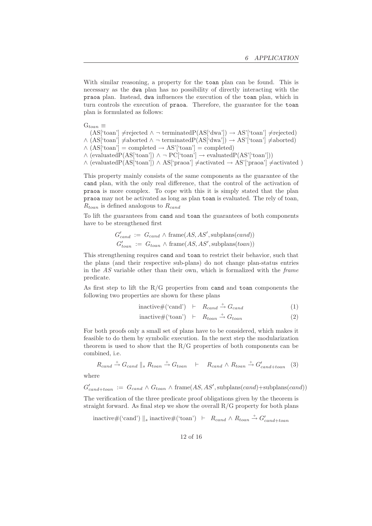With similar reasoning, a property for the toan plan can be found. This is necessary as the dwa plan has no possibility of directly interacting with the praoa plan. Instead, dwa influences the execution of the toan plan, which in turn controls the execution of praoa. Therefore, the guarantee for the toan plan is formulated as follows:

 $G_{toan} \equiv$ 

 $(AS['toan'] \neq rejected \land \neg terminatedP(AS['dwa']) \rightarrow AS['toan'] \neq rejected)$  $\wedge$  (AS['toan']  $\neq$ aborted  $\wedge \neg$  terminatedP(AS['dwa'])  $\rightarrow$  AS'['toan']  $\neq$ aborted)  $\wedge$  (AS['toan'] = completed  $\rightarrow$  AS'['toan'] = completed)

 $\wedge$  (evaluatedP(AS['toan'])  $\wedge \neg PC[$ 'toan']  $\rightarrow$  evaluatedP(AS'['toan']))

 $\wedge$  (evaluatedP(AS['toan'])  $\wedge$  AS['praoa']  $\neq$ activated  $\rightarrow$  AS'['praoa']  $\neq$ activated )

This property mainly consists of the same components as the guarantee of the cand plan, with the only real difference, that the control of the activation of praoa is more complex. To cope with this it is simply stated that the plan praoa may not be activated as long as plan toan is evaluated. The rely of toan,  $R_{toan}$  is defined analogous to  $R_{cand}$ 

To lift the guarantees from cand and toan the guarantees of both components have to be strengthened first

$$
G'_{cand} := G_{cand} \wedge \text{frame}(AS, AS', \text{subplans}(cand))
$$
  

$$
G'_{toan} := G_{toan} \wedge \text{frame}(AS, AS', \text{subplans}(toan))
$$

This strengthening requires cand and toan to restrict their behavior, such that the plans (and their respective sub-plans) do not change plan-status entries in the *AS* variable other than their own, which is formalized with the *frame* predicate.

As first step to lift the  $R/G$  properties from cand and toan components the following two properties are shown for these plans

$$
inactive\#("cand") \quad \vdash \quad R_{cand} \stackrel{+}{\rightarrow} G_{cand} \tag{1}
$$

$$
inactive\#("toan") \quad \vdash \quad R_{toan} \stackrel{+}{\rightarrow} G_{toan} \tag{2}
$$

For both proofs only a small set of plans have to be considered, which makes it feasible to do them by symbolic execution. In the next step the modularization theorem is used to show that the  $R/G$  properties of both components can be combined, i.e.

$$
R_{cand} \stackrel{+}{\rightarrow} G_{cand} \parallel_s R_{toan} \stackrel{+}{\rightarrow} G_{toan} \quad \vdash \quad R_{cand} \land R_{toan} \stackrel{+}{\rightarrow} G'_{cand+toan} \quad (3)
$$

where

 $G'_{cand+toan} := G_{cand} \wedge G_{toan} \wedge \text{frame}(AS, AS', \text{subplans}(cand)+\text{subplans}(cand))$ The verification of the three predicate proof obligations given by the theorem is

straight forward. As final step we show the overall  $R/G$  property for both plans

inactive#('cand') ||<sub>s</sub> inactive#('toan') ⊢  $R_{cand} \wedge R_{toan} \stackrel{+}{\rightarrow} G'_{cand+toan}$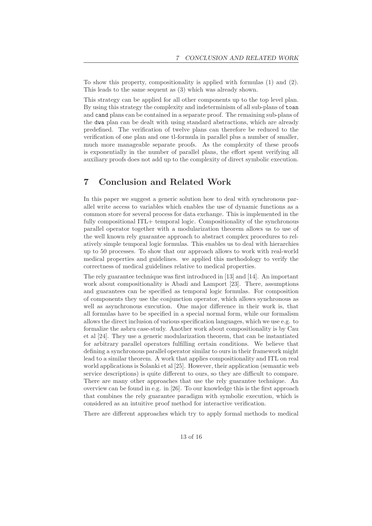To show this property, compositionality is applied with formulas (1) and (2). This leads to the same sequent as (3) which was already shown.

This strategy can be applied for all other components up to the top level plan. By using this strategy the complexity and indeterminism of all sub-plans of toan and cand plans can be contained in a separate proof. The remaining sub-plans of the dwa plan can be dealt with using standard abstractions, which are already predefined. The verification of twelve plans can therefore be reduced to the verification of one plan and one tl-formula in parallel plus a number of smaller, much more manageable separate proofs. As the complexity of these proofs is exponentially in the number of parallel plans, the effort spent verifying all auxiliary proofs does not add up to the complexity of direct symbolic execution.

# 7 Conclusion and Related Work

In this paper we suggest a generic solution how to deal with synchronous parallel write access to variables which enables the use of dynamic functions as a common store for several process for data exchange. This is implemented in the fully compositional ITL+ temporal logic. Compositionality of the synchronous parallel operator together with a modularization theorem allows us to use of the well known rely guarantee approach to abstract complex procedures to relatively simple temporal logic formulas. This enables us to deal with hierarchies up to 50 processes. To show that our approach allows to work with real-world medical properties and guidelines. we applied this methodology to verify the correctness of medical guidelines relative to medical properties.

The rely guarantee technique was first introduced in [13] and [14]. An important work about compositionality is Abadi and Lamport [23]. There, assumptions and guarantees can be specified as temporal logic formulas. For composition of components they use the conjunction operator, which allows synchronous as well as asynchronous execution. One major difference in their work is, that all formulas have to be specified in a special normal form, while our formalism allows the direct inclusion of various specification languages, which we use e.g. to formalize the asbru case-study. Another work about compositionality is by Cau et al [24]. They use a generic modularization theorem, that can be instantiated for arbitrary parallel operators fulfilling certain conditions. We believe that defining a synchronous parallel operator similar to ours in their framework might lead to a similar theorem. A work that applies compositionality and ITL on real world applications is Solanki et al [25]. However, their application (semantic web service descriptions) is quite different to ours, so they are difficult to compare. There are many other approaches that use the rely guarantee technique. An overview can be found in e.g. in [26]. To our knowledge this is the first approach that combines the rely guarantee paradigm with symbolic execution, which is considered as an intuitive proof method for interactive verification.

There are different approaches which try to apply formal methods to medical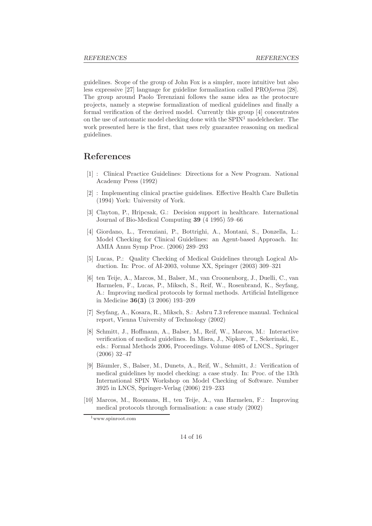guidelines. Scope of the group of John Fox is a simpler, more intuitive but also less expressive [27] language for guideline formalization called PRO*forma* [28]. The group around Paolo Terenziani follows the same idea as the protocure projects, namely a stepwise formalization of medical guidelines and finally a formal verification of the derived model. Currently this group [4] concentrates on the use of automatic model checking done with the  $SPIN<sup>1</sup>$  modelchecker. The work presented here is the first, that uses rely guarantee reasoning on medical guidelines.

#### References

- [1] : Clinical Practice Guidelines: Directions for a New Program. National Academy Press (1992)
- [2] : Implementing clinical practise guidelines. Effective Health Care Bulletin (1994) York: University of York.
- [3] Clayton, P., Hripcsak, G.: Decision support in healthcare. International Journal of Bio-Medical Computing 39 (4 1995) 59–66
- [4] Giordano, L., Terenziani, P., Bottrighi, A., Montani, S., Donzella, L.: Model Checking for Clinical Guidelines: an Agent-based Approach. In: AMIA Annu Symp Proc. (2006) 289–293
- [5] Lucas, P.: Quality Checking of Medical Guidelines through Logical Abduction. In: Proc. of AI-2003, volume XX, Springer (2003) 309–321
- [6] ten Teije, A., Marcos, M., Balser, M., van Croonenborg, J., Duelli, C., van Harmelen, F., Lucas, P., Miksch, S., Reif, W., Rosenbrand, K., Seyfang, A.: Improving medical protocols by formal methods. Artificial Intelligence in Medicine 36(3) (3 2006) 193–209
- [7] Seyfang, A., Kosara, R., Miksch, S.: Asbru 7.3 reference manual. Technical report, Vienna University of Technology (2002)
- [8] Schmitt, J., Hoffmann, A., Balser, M., Reif, W., Marcos, M.: Interactive verification of medical guidelines. In Misra, J., Nipkow, T., Sekerinski, E., eds.: Formal Methods 2006, Proceedings. Volume 4085 of LNCS., Springer (2006) 32–47
- [9] Bäumler, S., Balser, M., Dunets, A., Reif, W., Schmitt, J.: Verification of medical guidelines by model checking: a case study. In: Proc. of the 13th International SPIN Workshop on Model Checking of Software. Number 3925 in LNCS, Springer-Verlag (2006) 219–233
- [10] Marcos, M., Roomans, H., ten Teije, A., van Harmelen, F.: Improving medical protocols through formalisation: a case study (2002)

<sup>1</sup>www.spinroot.com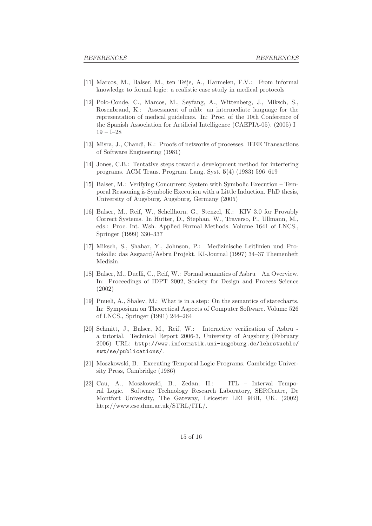- [11] Marcos, M., Balser, M., ten Teije, A., Harmelen, F.V.: From informal knowledge to formal logic: a realistic case study in medical protocols
- [12] Polo-Conde, C., Marcos, M., Seyfang, A., Wittenberg, J., Miksch, S., Rosenbrand, K.: Assessment of mhb: an intermediate language for the representation of medical guidelines. In: Proc. of the 10th Conference of the Spanish Association for Artificial Intelligence (CAEPIA-05). (2005) I– 19 – I–28
- [13] Misra, J., Chandi, K.: Proofs of networks of processes. IEEE Transactions of Software Engineering (1981)
- [14] Jones, C.B.: Tentative steps toward a development method for interfering programs. ACM Trans. Program. Lang. Syst. 5(4) (1983) 596–619
- [15] Balser, M.: Verifying Concurrent System with Symbolic Execution Temporal Reasoning is Symbolic Execution with a Little Induction. PhD thesis, University of Augsburg, Augsburg, Germany (2005)
- [16] Balser, M., Reif, W., Schellhorn, G., Stenzel, K.: KIV 3.0 for Provably Correct Systems. In Hutter, D., Stephan, W., Traverso, P., Ullmann, M., eds.: Proc. Int. Wsh. Applied Formal Methods. Volume 1641 of LNCS., Springer (1999) 330–337
- [17] Miksch, S., Shahar, Y., Johnson, P.: Medizinische Leitlinien und Protokolle: das Asgaard/Asbru Projekt. KI-Journal (1997) 34–37 Themenheft Medizin.
- [18] Balser, M., Duelli, C., Reif, W.: Formal semantics of Asbru An Overview. In: Proceedings of IDPT 2002, Society for Design and Process Science (2002)
- [19] Pnueli, A., Shalev, M.: What is in a step: On the semantics of statecharts. In: Symposium on Theoretical Aspects of Computer Software. Volume 526 of LNCS., Springer (1991) 244–264
- [20] Schmitt, J., Balser, M., Reif, W.: Interactive verification of Asbru a tutorial. Technical Report 2006-3, University of Augsburg (February 2006) URL: http://www.informatik.uni-augsburg.de/lehrstuehle/ swt/se/publications/.
- [21] Moszkowski, B.: Executing Temporal Logic Programs. Cambridge University Press, Cambridge (1986)
- [22] Cau, A., Moszkowski, B., Zedan, H.: ITL Interval Temporal Logic. Software Technology Research Laboratory, SERCentre, De Montfort University, The Gateway, Leicester LE1 9BH, UK. (2002) http://www.cse.dmu.ac.uk/STRL/ITL/.